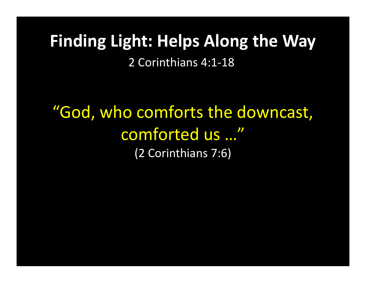2 Corinthians 4:1-18

"God, who comforts the downcast, comforted us …" (2 Corinthians 7:6)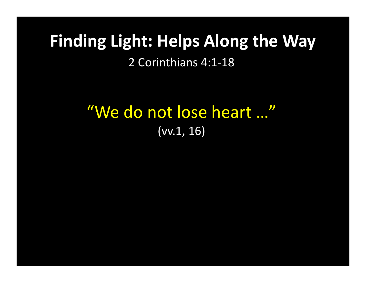2 Corinthians 4:1-18

#### "We do not lose heart …" (vv.1, 16)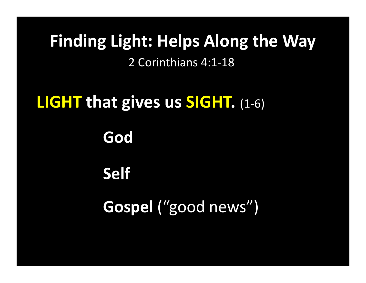2 Corinthians 4:1-18

# **LIGHT that gives us SIGHT.** (1-6)

**God**

**Self**

**Gospel** ("good news")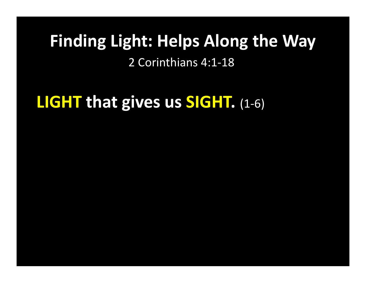2 Corinthians 4:1-18

**LIGHT that gives us SIGHT.** (1-6)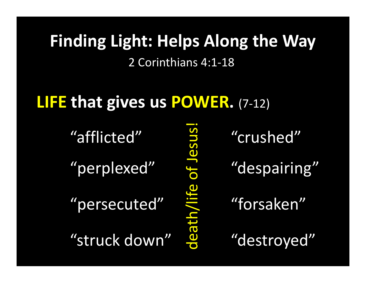2 Corinthians 4:1-18

#### **LIFE that gives us POWER.** (7-12)

"afflicted"

"perplexed"

"persecuted"

"struck down"

"crushed""despairing"End "crushed"<br>
despairing"<br>
destroyed"<br>
destroyed"

"forsaken"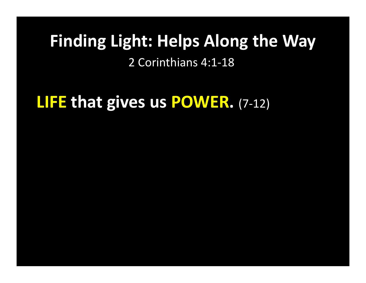2 Corinthians 4:1-18

**LIFE that gives us POWER.** (7-12)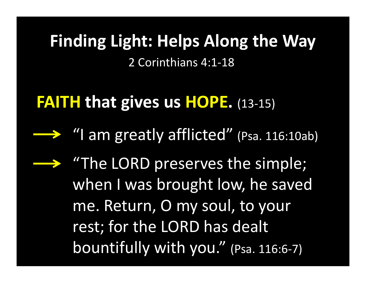2 Corinthians 4:1-18

## **FAITH that gives us HOPE.** (13-15)

- **Base 4 am greatly afflicted"** (Psa. 116:10ab)
	- $\rightarrow$  "The LORD preserves the simple; when I was brought low, he saved me. Return, O my soul, to your rest; for the LORD has dealt bountifully with you." (Psa. 116:6-7)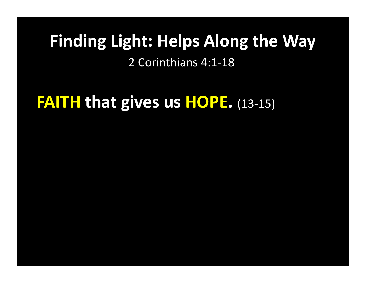2 Corinthians 4:1-18

**FAITH that gives us HOPE.** (13-15)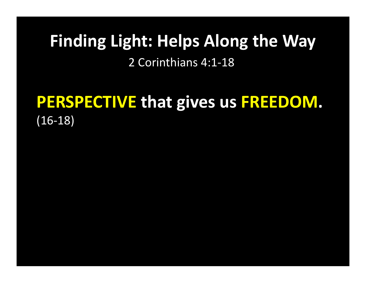2 Corinthians 4:1-18

#### **PERSPECTIVE that gives us FREEDOM.** (16-18)